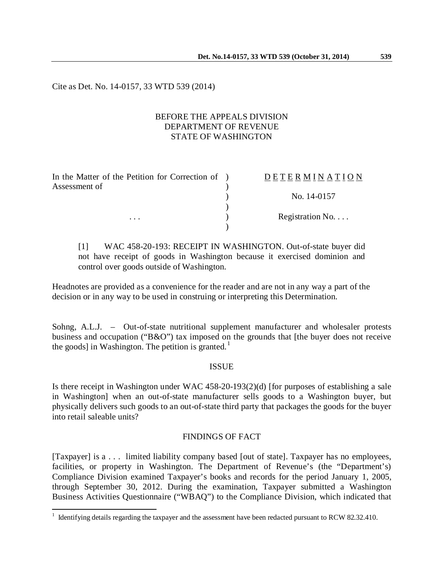Cite as Det. No. 14-0157, 33 WTD 539 (2014)

### BEFORE THE APPEALS DIVISION DEPARTMENT OF REVENUE STATE OF WASHINGTON

| In the Matter of the Petition for Correction of ) | <b>DETERMINATION</b>     |
|---------------------------------------------------|--------------------------|
| Assessment of                                     |                          |
|                                                   | No. 14-0157              |
|                                                   |                          |
| $\cdots$                                          | Registration No. $\dots$ |
|                                                   |                          |

[1] WAC 458-20-193: RECEIPT IN WASHINGTON. Out-of-state buyer did not have receipt of goods in Washington because it exercised dominion and control over goods outside of Washington.

Headnotes are provided as a convenience for the reader and are not in any way a part of the decision or in any way to be used in construing or interpreting this Determination.

Sohng, A.L.J. – Out-of-state nutritional supplement manufacturer and wholesaler protests business and occupation ("B&O") tax imposed on the grounds that [the buyer does not receive the goods] in Washington. The petition is granted.<sup>[1](#page-0-0)</sup>

### ISSUE

Is there receipt in Washington under WAC 458-20-193(2)(d) [for purposes of establishing a sale in Washington] when an out-of-state manufacturer sells goods to a Washington buyer, but physically delivers such goods to an out-of-state third party that packages the goods for the buyer into retail saleable units?

# FINDINGS OF FACT

[Taxpayer] is a . . . limited liability company based [out of state]. Taxpayer has no employees, facilities, or property in Washington. The Department of Revenue's (the "Department's) Compliance Division examined Taxpayer's books and records for the period January 1, 2005, through September 30, 2012. During the examination, Taxpayer submitted a Washington Business Activities Questionnaire ("WBAQ") to the Compliance Division, which indicated that

 $\overline{a}$ 

<span id="page-0-0"></span> $1$  Identifying details regarding the taxpayer and the assessment have been redacted pursuant to RCW 82.32.410.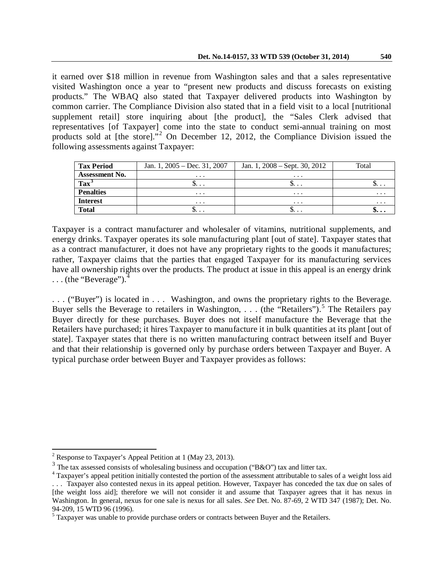it earned over \$18 million in revenue from Washington sales and that a sales representative visited Washington once a year to "present new products and discuss forecasts on existing products." The WBAQ also stated that Taxpayer delivered products into Washington by common carrier. The Compliance Division also stated that in a field visit to a local [nutritional supplement retail] store inquiring about [the product], the "Sales Clerk advised that representatives [of Taxpayer] come into the state to conduct semi-annual training on most products sold at [the store]."[2](#page-1-0) On December 12, 2012, the Compliance Division issued the following assessments against Taxpayer:

| <b>Tax Period</b>     | Jan. 1, $2005 - Dec. 31, 2007$ | Jan. 1, $2008 -$ Sept. 30, $2012$ | Total         |
|-----------------------|--------------------------------|-----------------------------------|---------------|
| <b>Assessment No.</b> | $\cdots$                       | $\cdots$                          |               |
| Tax <sup>3</sup>      | J                              | ۰υ.                               | $\mathcal{P}$ |
| <b>Penalties</b>      | $\cdots$                       | $\cdots$                          | $\cdots$      |
| <b>Interest</b>       | $\cdots$                       | $\cdots$                          | $\cdots$      |
| <b>Total</b>          | ٠                              |                                   | .             |

Taxpayer is a contract manufacturer and wholesaler of vitamins, nutritional supplements, and energy drinks. Taxpayer operates its sole manufacturing plant [out of state]. Taxpayer states that as a contract manufacturer, it does not have any proprietary rights to the goods it manufactures; rather, Taxpayer claims that the parties that engaged Taxpayer for its manufacturing services have all ownership rights over the products. The product at issue in this appeal is an energy drink  $\ldots$  (the "Beverage").<sup>[4](#page-1-2)</sup>

. . . ("Buyer") is located in . . . Washington, and owns the proprietary rights to the Beverage. Buyer sells the Beverage to retailers in Washington, . . . (the "Retailers").<sup>[5](#page-1-3)</sup> The Retailers pay Buyer directly for these purchases. Buyer does not itself manufacture the Beverage that the Retailers have purchased; it hires Taxpayer to manufacture it in bulk quantities at its plant [out of state]. Taxpayer states that there is no written manufacturing contract between itself and Buyer and that their relationship is governed only by purchase orders between Taxpayer and Buyer. A typical purchase order between Buyer and Taxpayer provides as follows:

 $\overline{a}$ 

<span id="page-1-1"></span><span id="page-1-0"></span><sup>&</sup>lt;sup>2</sup> Response to Taxpayer's Appeal Petition at 1 (May 23, 2013).<br><sup>3</sup> The tax assessed consists of wholesaling business and occupation ("B&O") tax and litter tax.

<span id="page-1-2"></span> $3$ <sup>4</sup> Tax payer's appeal petition initially contested the portion of the assessment attributable to sales of a weight loss aid . . . Taxpayer also contested nexus in its appeal petition. However, Taxpayer has conceded the tax due on sales of [the weight loss aid]; therefore we will not consider it and assume that Taxpayer agrees that it has nexus in Washington. In general, nexus for one sale is nexus for all sales. *See* Det. No. 87-69, 2 WTD 347 (1987); Det. No.

<span id="page-1-3"></span><sup>94-209, 15</sup> WTD 96 (1996).<br><sup>5</sup> Taxpayer was unable to provide purchase orders or contracts between Buyer and the Retailers.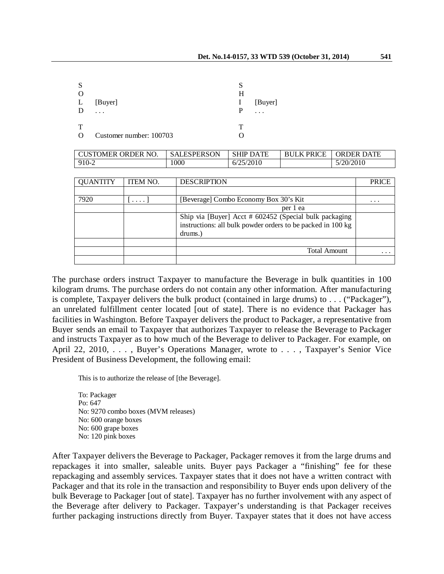| <sup>S</sup><br>L<br>D | [Buyer]                 | Н<br>$\bf{l}$<br>P | [Buyer] |
|------------------------|-------------------------|--------------------|---------|
| Т<br>$\Omega$          | Customer number: 100703 |                    |         |

| <b>CUSTOMER ORDER NO.</b> | <b>SALESPERSON</b> | <b>SHIP DATE</b> | <b>BULK PRICE</b> | <b>ORDER DATE</b> |
|---------------------------|--------------------|------------------|-------------------|-------------------|
| 910-2                     | 1000               | 6/25/2010        |                   | 5/20/2010         |

| <b>QUANTITY</b> | <b>ITEM NO.</b> | <b>DESCRIPTION</b>                                                                                                               | PRICE    |
|-----------------|-----------------|----------------------------------------------------------------------------------------------------------------------------------|----------|
|                 |                 |                                                                                                                                  |          |
| 7920            | $\cdots$        | [Beverage] Combo Economy Box 30's Kit                                                                                            | .        |
|                 |                 | per 1 ea                                                                                                                         |          |
|                 |                 | Ship via [Buyer] Acct # 602452 (Special bulk packaging<br>instructions: all bulk powder orders to be packed in 100 kg<br>drums.) |          |
|                 |                 |                                                                                                                                  |          |
|                 |                 | <b>Total Amount</b>                                                                                                              | $\cdots$ |
|                 |                 |                                                                                                                                  |          |

The purchase orders instruct Taxpayer to manufacture the Beverage in bulk quantities in 100 kilogram drums. The purchase orders do not contain any other information. After manufacturing is complete, Taxpayer delivers the bulk product (contained in large drums) to . . . ("Packager"), an unrelated fulfillment center located [out of state]. There is no evidence that Packager has facilities in Washington. Before Taxpayer delivers the product to Packager, a representative from Buyer sends an email to Taxpayer that authorizes Taxpayer to release the Beverage to Packager and instructs Taxpayer as to how much of the Beverage to deliver to Packager. For example, on April 22, 2010, ..., Buyer's Operations Manager, wrote to ..., Taxpayer's Senior Vice President of Business Development, the following email:

This is to authorize the release of [the Beverage].

To: Packager Po: 647 No: 9270 combo boxes (MVM releases) No: 600 orange boxes No: 600 grape boxes No: 120 pink boxes

After Taxpayer delivers the Beverage to Packager, Packager removes it from the large drums and repackages it into smaller, saleable units. Buyer pays Packager a "finishing" fee for these repackaging and assembly services. Taxpayer states that it does not have a written contract with Packager and that its role in the transaction and responsibility to Buyer ends upon delivery of the bulk Beverage to Packager [out of state]. Taxpayer has no further involvement with any aspect of the Beverage after delivery to Packager. Taxpayer's understanding is that Packager receives further packaging instructions directly from Buyer. Taxpayer states that it does not have access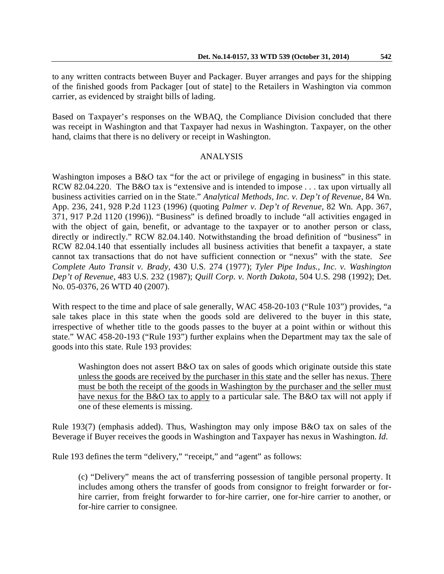to any written contracts between Buyer and Packager. Buyer arranges and pays for the shipping of the finished goods from Packager [out of state] to the Retailers in Washington via common carrier, as evidenced by straight bills of lading.

Based on Taxpayer's responses on the WBAQ, the Compliance Division concluded that there was receipt in Washington and that Taxpayer had nexus in Washington. Taxpayer, on the other hand, claims that there is no delivery or receipt in Washington.

# ANALYSIS

Washington imposes a B&O tax "for the act or privilege of engaging in business" in this state. RCW 82.04.220. The B&O tax is "extensive and is intended to impose . . . tax upon virtually all business activities carried on in the State." *Analytical Methods, Inc. v. Dep't of Revenue*, 84 Wn. App. 236, 241, 928 P.2d 1123 (1996) (quoting *Palmer v. Dep't of Revenue*, 82 Wn. App. 367, 371, 917 P.2d 1120 (1996)). "Business" is defined broadly to include "all activities engaged in with the object of gain, benefit, or advantage to the taxpayer or to another person or class, directly or indirectly." RCW 82.04.140. Notwithstanding the broad definition of "business" in RCW 82.04.140 that essentially includes all business activities that benefit a taxpayer, a state cannot tax transactions that do not have sufficient connection or "nexus" with the state. *See Complete Auto Transit v. Brady*, 430 U.S. 274 (1977); *Tyler Pipe Indus., Inc. v. Washington Dep't of Revenue*, 483 U.S. 232 (1987); *Quill Corp. v. North Dakota*, 504 U.S. 298 (1992); Det. No. 05-0376, 26 WTD 40 (2007).

With respect to the time and place of sale generally, WAC 458-20-103 ("Rule 103") provides, "a sale takes place in this state when the goods sold are delivered to the buyer in this state, irrespective of whether title to the goods passes to the buyer at a point within or without this state." WAC 458-20-193 ("Rule 193") further explains when the Department may tax the sale of goods into this state. Rule 193 provides:

Washington does not assert B&O tax on sales of goods which originate outside this state unless the goods are received by the purchaser in this state and the seller has nexus. There must be both the receipt of the goods in Washington by the purchaser and the seller must have nexus for the B&O tax to apply to a particular sale. The B&O tax will not apply if one of these elements is missing.

Rule 193(7) (emphasis added). Thus, Washington may only impose B&O tax on sales of the Beverage if Buyer receives the goods in Washington and Taxpayer has nexus in Washington. *Id.* 

Rule 193 defines the term "delivery," "receipt," and "agent" as follows:

(c) "Delivery" means the act of transferring possession of tangible personal property. It includes among others the transfer of goods from consignor to freight forwarder or forhire carrier, from freight forwarder to for-hire carrier, one for-hire carrier to another, or for-hire carrier to consignee.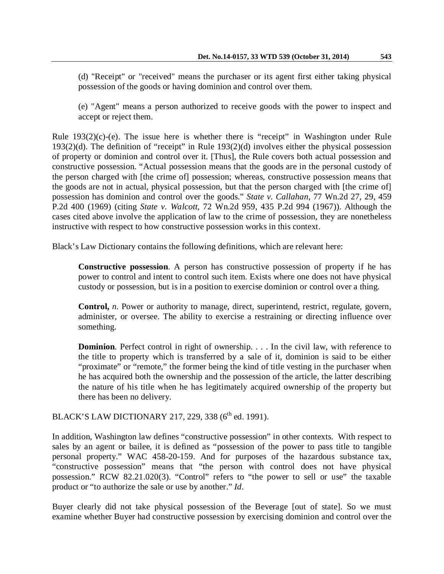(d) "Receipt" or "received" means the purchaser or its agent first either taking physical possession of the goods or having dominion and control over them.

(e) "Agent" means a person authorized to receive goods with the power to inspect and accept or reject them.

Rule 193(2)(c)-(e). The issue here is whether there is "receipt" in Washington under Rule 193(2)(d). The definition of "receipt" in Rule 193(2)(d) involves either the physical possession of property or dominion and control over it. [Thus], the Rule covers both actual possession and constructive possession. "Actual possession means that the goods are in the personal custody of the person charged with [the crime of] possession; whereas, constructive possession means that the goods are not in actual, physical possession, but that the person charged with [the crime of] possession has dominion and control over the goods." *State v. Callahan*, 77 Wn.2d 27, 29, 459 P.2d 400 (1969) (citing *State v. Walcott*, 72 Wn.2d 959, 435 P.2d 994 (1967)). Although the cases cited above involve the application of law to the crime of possession, they are nonetheless instructive with respect to how constructive possession works in this context.

Black's Law Dictionary contains the following definitions, which are relevant here:

**Constructive possession**. A person has constructive possession of property if he has power to control and intent to control such item. Exists where one does not have physical custody or possession, but is in a position to exercise dominion or control over a thing.

**Control,** *n.* Power or authority to manage, direct, superintend, restrict, regulate, govern, administer, or oversee. The ability to exercise a restraining or directing influence over something.

**Dominion**. Perfect control in right of ownership. . . . In the civil law, with reference to the title to property which is transferred by a sale of it, dominion is said to be either "proximate" or "remote," the former being the kind of title vesting in the purchaser when he has acquired both the ownership and the possession of the article, the latter describing the nature of his title when he has legitimately acquired ownership of the property but there has been no delivery.

BLACK'S LAW DICTIONARY 217, 229, 338 (6<sup>th</sup> ed. 1991).

In addition, Washington law defines "constructive possession" in other contexts. With respect to sales by an agent or bailee, it is defined as "possession of the power to pass title to tangible personal property." WAC 458-20-159. And for purposes of the hazardous substance tax, "constructive possession" means that "the person with control does not have physical possession." RCW 82.21.020(3). "Control" refers to "the power to sell or use" the taxable product or "to authorize the sale or use by another." *Id*.

Buyer clearly did not take physical possession of the Beverage [out of state]. So we must examine whether Buyer had constructive possession by exercising dominion and control over the